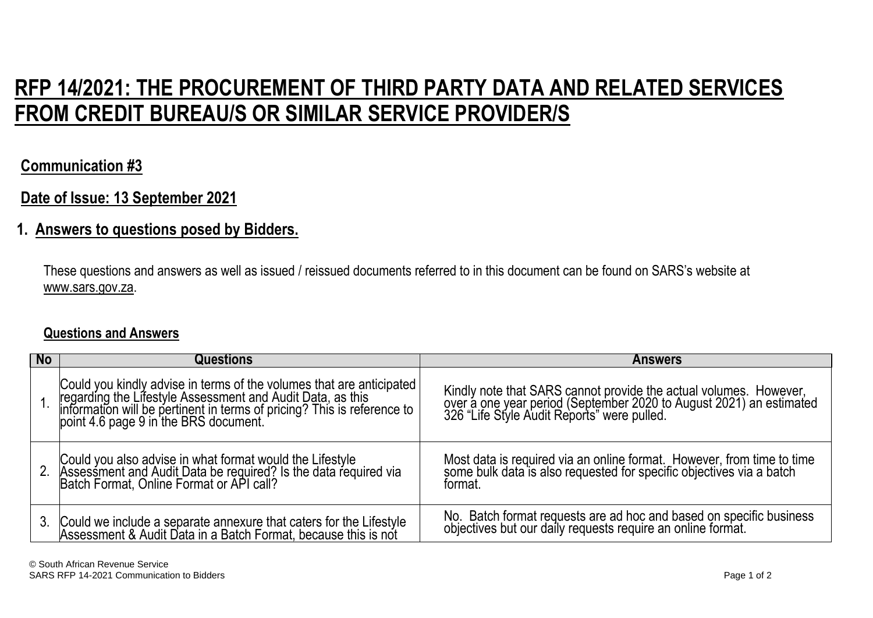# **RFP 14/2021: THE PROCUREMENT OF THIRD PARTY DATA AND RELATED SERVICES FROM CREDIT BUREAU/S OR SIMILAR SERVICE PROVIDER/S**

## **Communication #3**

## **Date of Issue: 13 September 2021**

## **1. Answers to questions posed by Bidders.**

These questions and answers as well as issued / reissued documents referred to in this document can be found on SARS's website at www.sars.gov.za.

### **Questions and Answers**

| <b>No</b> | Questions                                                                                                                                                                                                                               | <b>Answers</b>                                                                                                                                                                          |
|-----------|-----------------------------------------------------------------------------------------------------------------------------------------------------------------------------------------------------------------------------------------|-----------------------------------------------------------------------------------------------------------------------------------------------------------------------------------------|
|           | Could you kindly advise in terms of the volumes that are anticipated<br>regarding the Lifestyle Assessment and Audit Data, as this<br>information will be pertinent in terms of pricing? This is reference to<br>point 4.6 page 9 in th | Kindly note that SARS cannot provide the actual volumes. However,<br>over a one year period (September 2020 to August 2021) an estimated<br>326 "Life Style Audit Reports" were pulled. |
|           | Could you also advise in what format would the Lifestyle<br>Assessment and Audit Data be required? Is the data required via<br>Batch Format, Online Format or API call?                                                                 | Most data is required via an online format. However, from time to time some bulk data is also requested for specific objectives via a batch<br>format.                                  |
| 3.        | Could we include a separate annexure that caters for the Lifestyle<br>Assessment & Audit Data in a Batch Format, because this is not                                                                                                    | No. Batch format requests are ad hoc and based on specific business<br>objectives but our daily requests require an online format.                                                      |